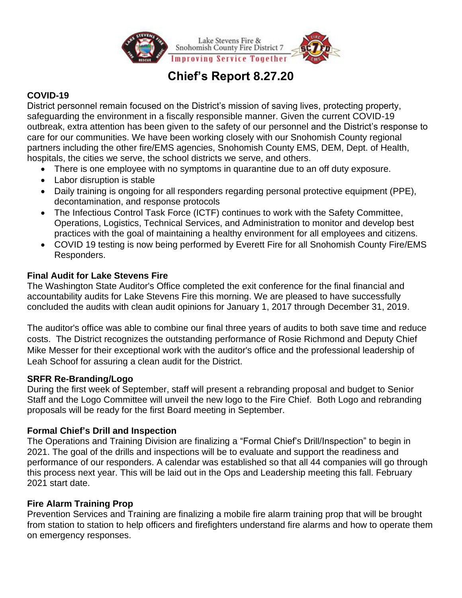

# **Chief's Report 8.27.20**

# **COVID-19**

District personnel remain focused on the District's mission of saving lives, protecting property, safeguarding the environment in a fiscally responsible manner. Given the current COVID-19 outbreak, extra attention has been given to the safety of our personnel and the District's response to care for our communities. We have been working closely with our Snohomish County regional partners including the other fire/EMS agencies, Snohomish County EMS, DEM, Dept. of Health, hospitals, the cities we serve, the school districts we serve, and others.

- There is one employee with no symptoms in quarantine due to an off duty exposure.
- Labor disruption is stable
- Daily training is ongoing for all responders regarding personal protective equipment (PPE), decontamination, and response protocols
- The Infectious Control Task Force (ICTF) continues to work with the Safety Committee, Operations, Logistics, Technical Services, and Administration to monitor and develop best practices with the goal of maintaining a healthy environment for all employees and citizens.
- COVID 19 testing is now being performed by Everett Fire for all Snohomish County Fire/EMS Responders.

# **Final Audit for Lake Stevens Fire**

The Washington State Auditor's Office completed the exit conference for the final financial and accountability audits for Lake Stevens Fire this morning. We are pleased to have successfully concluded the audits with clean audit opinions for January 1, 2017 through December 31, 2019.

The auditor's office was able to combine our final three years of audits to both save time and reduce costs. The District recognizes the outstanding performance of Rosie Richmond and Deputy Chief Mike Messer for their exceptional work with the auditor's office and the professional leadership of Leah Schoof for assuring a clean audit for the District.

# **SRFR Re-Branding/Logo**

During the first week of September, staff will present a rebranding proposal and budget to Senior Staff and the Logo Committee will unveil the new logo to the Fire Chief. Both Logo and rebranding proposals will be ready for the first Board meeting in September.

# **Formal Chief's Drill and Inspection**

The Operations and Training Division are finalizing a "Formal Chief's Drill/Inspection" to begin in 2021. The goal of the drills and inspections will be to evaluate and support the readiness and performance of our responders. A calendar was established so that all 44 companies will go through this process next year. This will be laid out in the Ops and Leadership meeting this fall. February 2021 start date.

# **Fire Alarm Training Prop**

Prevention Services and Training are finalizing a mobile fire alarm training prop that will be brought from station to station to help officers and firefighters understand fire alarms and how to operate them on emergency responses.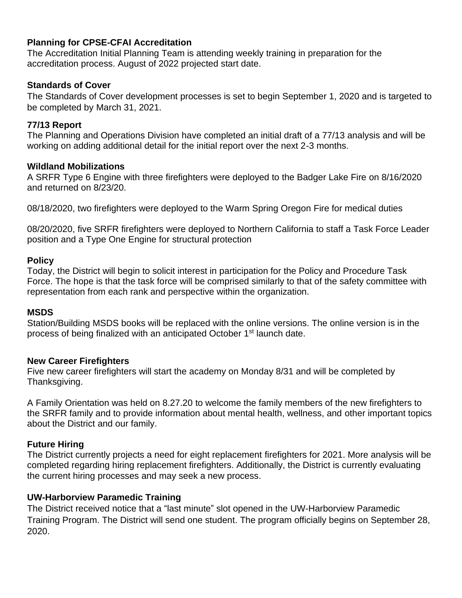## **Planning for CPSE-CFAI Accreditation**

The Accreditation Initial Planning Team is attending weekly training in preparation for the accreditation process. August of 2022 projected start date.

## **Standards of Cover**

The Standards of Cover development processes is set to begin September 1, 2020 and is targeted to be completed by March 31, 2021.

## **77/13 Report**

The Planning and Operations Division have completed an initial draft of a 77/13 analysis and will be working on adding additional detail for the initial report over the next 2-3 months.

## **Wildland Mobilizations**

A SRFR Type 6 Engine with three firefighters were deployed to the Badger Lake Fire on 8/16/2020 and returned on 8/23/20.

08/18/2020, two firefighters were deployed to the Warm Spring Oregon Fire for medical duties

08/20/2020, five SRFR firefighters were deployed to Northern California to staff a Task Force Leader position and a Type One Engine for structural protection

## **Policy**

Today, the District will begin to solicit interest in participation for the Policy and Procedure Task Force. The hope is that the task force will be comprised similarly to that of the safety committee with representation from each rank and perspective within the organization.

## **MSDS**

Station/Building MSDS books will be replaced with the online versions. The online version is in the process of being finalized with an anticipated October 1<sup>st</sup> launch date.

## **New Career Firefighters**

Five new career firefighters will start the academy on Monday 8/31 and will be completed by Thanksgiving.

A Family Orientation was held on 8.27.20 to welcome the family members of the new firefighters to the SRFR family and to provide information about mental health, wellness, and other important topics about the District and our family.

## **Future Hiring**

The District currently projects a need for eight replacement firefighters for 2021. More analysis will be completed regarding hiring replacement firefighters. Additionally, the District is currently evaluating the current hiring processes and may seek a new process.

# **UW-Harborview Paramedic Training**

The District received notice that a "last minute" slot opened in the UW-Harborview Paramedic Training Program. The District will send one student. The program officially begins on September 28, 2020.